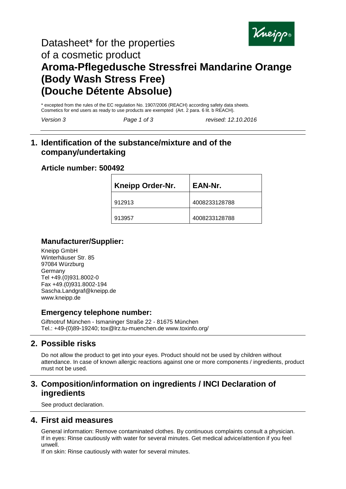

# Datasheet\* for the properties of a cosmetic product **Aroma-Pflegedusche Stressfrei Mandarine Orange (Body Wash Stress Free) (Douche Détente Absolue)**

\* excepted from the rules of the EC regulation No. 1907/2006 (REACH) according safety data sheets. Cosmetics for end users as ready to use products are exempted (Art. 2 para. 6 lit. b REACH).

*Version 3 Page 1 of 3 revised: 12.10.2016*

## **1. Identification of the substance/mixture and of the company/undertaking**

#### **Article number: 500492**

| <b>Kneipp Order-Nr.</b> | EAN-Nr.       |
|-------------------------|---------------|
| 912913                  | 4008233128788 |
| 913957                  | 4008233128788 |

### **Manufacturer/Supplier:**

Kneipp GmbH Winterhäuser Str. 85 97084 Würzburg Germany Tel +49.(0)931.8002-0 Fax +49.(0)931.8002-194 Sascha.Landgraf@kneipp.de www.kneipp.de

### **Emergency telephone number:**

Giftnotruf München - Ismaninger Straße 22 - 81675 München Tel.: +49-(0)89-19240; tox@lrz.tu-muenchen.de www.toxinfo.org/

# **2. Possible risks**

Do not allow the product to get into your eyes. Product should not be used by children without attendance. In case of known allergic reactions against one or more components / ingredients, product must not be used.

## **3. Composition/information on ingredients / INCI Declaration of ingredients**

See product declaration.

### **4. First aid measures**

General information: Remove contaminated clothes. By continuous complaints consult a physician. If in eyes: Rinse cautiously with water for several minutes. Get medical advice/attention if you feel unwell.

If on skin: Rinse cautiously with water for several minutes.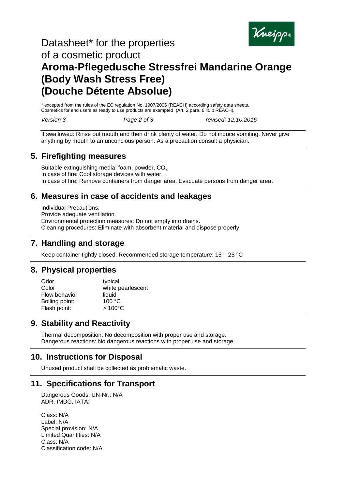

# Datasheet\* for the properties of a cosmetic product **Aroma-Pflegedusche Stressfrei Mandarine Orange (Body Wash Stress Free) (Douche Détente Absolue)**

\* excepted from the rules of the EC regulation No. 1907/2006 (REACH) according safety data sheets. Cosmetics for end users as ready to use products are exempted (Art. 2 para. 6 lit. b REACH).

*Version 3 Page 2 of 3 revised: 12.10.2016*

If swallowed: Rinse out mouth and then drink plenty of water. Do not induce vomiting. Never give anything by mouth to an unconcious person. As a precaution consult a physician.

#### **5. Firefighting measures**

Suitable extinguishing media: foam, powder,  $CO<sub>2</sub>$ In case of fire: Cool storage devices with water. In case of fire: Remove containers from danger area. Evacuate persons from danger area.

## **6. Measures in case of accidents and leakages**

Individual Precautions: Provide adequate ventilation. Environmental protection measures: Do not empty into drains. Cleaning procedures: Eliminate with absorbent material and dispose properly.

## **7. Handling and storage**

Keep container tightly closed. Recommended storage temperature: 15 – 25 °C

## **8. Physical properties**

| typical           |
|-------------------|
| white pearlescent |
| liquid            |
| 100 °C            |
| $>100^{\circ}$ C  |
|                   |

## **9. Stability and Reactivity**

Thermal decomposition: No decomposition with proper use and storage. Dangerous reactions: No dangerous reactions with proper use and storage.

## **10. Instructions for Disposal**

Unused product shall be collected as problematic waste.

## **11. Specifications for Transport**

Dangerous Goods: UN-Nr.: N/A ADR, IMDG, IATA:

Class: N/A Label: N/A Special provision: N/A Limited Quantities: N/A Class: N/A Classification code: N/A